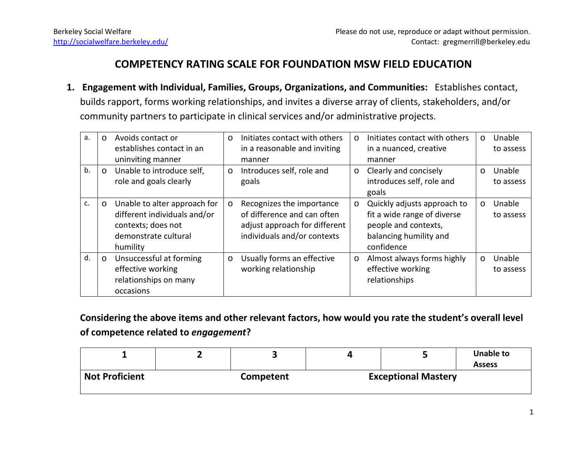## **COMPETENCY RATING SCALE FOR FOUNDATION MSW FIELD EDUCATION**

**1. Engagement with Individual, Families, Groups, Organizations, and Communities:** Establishes contact, builds rapport, forms working relationships, and invites a diverse array of clients, stakeholders, and/or community partners to participate in clinical services and/or administrative projects.

| a. | $\Omega$ | Avoids contact or<br>establishes contact in an<br>uninviting manner                                                    | $\Omega$ | Initiates contact with others<br>in a reasonable and inviting<br>manner                                                  | $\Omega$ | Initiates contact with others<br>in a nuanced, creative<br>manner                                                          | $\circ$ | Unable<br>to assess |
|----|----------|------------------------------------------------------------------------------------------------------------------------|----------|--------------------------------------------------------------------------------------------------------------------------|----------|----------------------------------------------------------------------------------------------------------------------------|---------|---------------------|
| b. | $\circ$  | Unable to introduce self,<br>role and goals clearly                                                                    | $\circ$  | Introduces self, role and<br>goals                                                                                       | $\circ$  | Clearly and concisely<br>introduces self, role and<br>goals                                                                | $\circ$ | Unable<br>to assess |
| c. | $\circ$  | Unable to alter approach for<br>different individuals and/or<br>contexts; does not<br>demonstrate cultural<br>humility | $\circ$  | Recognizes the importance<br>of difference and can often<br>adjust approach for different<br>individuals and/or contexts | $\circ$  | Quickly adjusts approach to<br>fit a wide range of diverse<br>people and contexts,<br>balancing humility and<br>confidence | $\circ$ | Unable<br>to assess |
| d. | $\circ$  | Unsuccessful at forming<br>effective working<br>relationships on many<br>occasions                                     | $\circ$  | Usually forms an effective<br>working relationship                                                                       | $\circ$  | Almost always forms highly<br>effective working<br>relationships                                                           | $\circ$ | Unable<br>to assess |

**Considering the above items and other relevant factors, how would you rate the student's overall level of competence related to** *engagement***?**

|                       |                  |                            | <b>Unable to</b><br><b>Assess</b> |  |  |
|-----------------------|------------------|----------------------------|-----------------------------------|--|--|
| <b>Not Proficient</b> | <b>Competent</b> | <b>Exceptional Mastery</b> |                                   |  |  |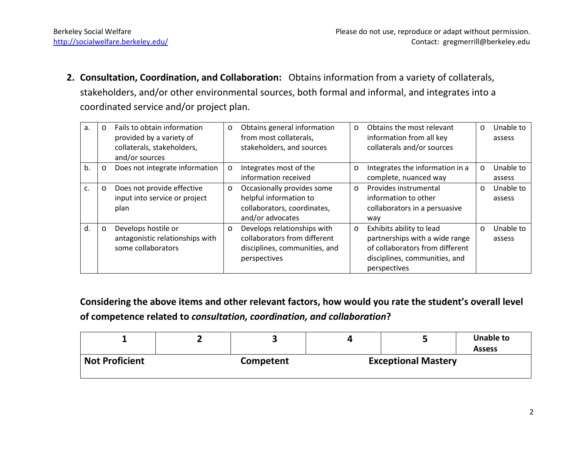**2. Consultation, Coordination, and Collaboration:** Obtains information from a variety of collaterals, stakeholders, and/or other environmental sources, both formal and informal, and integrates into a coordinated service and/or project plan.

| a. | $\circ$ | Fails to obtain information<br>provided by a variety of<br>collaterals, stakeholders,<br>and/or sources | $\circ$ | Obtains general information<br>from most collaterals,<br>stakeholders, and sources                           | $\circ$ | Obtains the most relevant<br>information from all key<br>collaterals and/or sources                                                            | $\circ$ | Unable to<br>assess |
|----|---------|---------------------------------------------------------------------------------------------------------|---------|--------------------------------------------------------------------------------------------------------------|---------|------------------------------------------------------------------------------------------------------------------------------------------------|---------|---------------------|
| b. | $\circ$ | Does not integrate information                                                                          | $\circ$ | Integrates most of the<br>information received                                                               | $\circ$ | Integrates the information in a<br>complete, nuanced way                                                                                       | $\circ$ | Unable to<br>assess |
| c. | $\circ$ | Does not provide effective<br>input into service or project<br>plan                                     | $\circ$ | Occasionally provides some<br>helpful information to<br>collaborators, coordinates,<br>and/or advocates      | $\circ$ | Provides instrumental<br>information to other<br>collaborators in a persuasive<br>way                                                          | $\circ$ | Unable to<br>assess |
| d. | $\circ$ | Develops hostile or<br>antagonistic relationships with<br>some collaborators                            | $\circ$ | Develops relationships with<br>collaborators from different<br>disciplines, communities, and<br>perspectives | $\circ$ | Exhibits ability to lead<br>partnerships with a wide range<br>of collaborators from different<br>disciplines, communities, and<br>perspectives | $\circ$ | Unable to<br>assess |

**Considering the above items and other relevant factors, how would you rate the student's overall level of competence related to** *consultation, coordination, and collaboration***?**

|                       |                  |                            | Unable to<br><b>Assess</b> |
|-----------------------|------------------|----------------------------|----------------------------|
| <b>Not Proficient</b> | <b>Competent</b> | <b>Exceptional Mastery</b> |                            |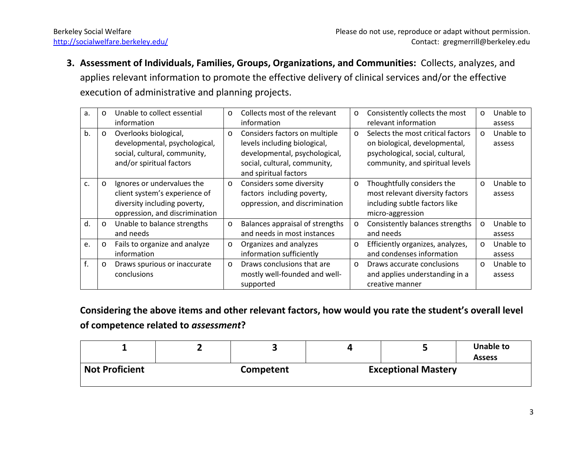**3. Assessment of Individuals, Families, Groups, Organizations, and Communities:** Collects, analyzes, and applies relevant information to promote the effective delivery of clinical services and/or the effective execution of administrative and planning projects.

| a. | $\circ$ | Unable to collect essential    | $\circ$ | Collects most of the relevant   | $\circ$ | Consistently collects the most    | $\circ$ | Unable to |
|----|---------|--------------------------------|---------|---------------------------------|---------|-----------------------------------|---------|-----------|
|    |         | information                    |         | information                     |         | relevant information              |         | assess    |
| b. | $\circ$ | Overlooks biological,          | $\circ$ | Considers factors on multiple   | $\circ$ | Selects the most critical factors | $\circ$ | Unable to |
|    |         | developmental, psychological,  |         | levels including biological,    |         | on biological, developmental,     |         | assess    |
|    |         | social, cultural, community,   |         | developmental, psychological,   |         | psychological, social, cultural,  |         |           |
|    |         | and/or spiritual factors       |         | social, cultural, community,    |         | community, and spiritual levels   |         |           |
|    |         |                                |         | and spiritual factors           |         |                                   |         |           |
| C. | $\circ$ | Ignores or undervalues the     | $\circ$ | Considers some diversity        | $\circ$ | Thoughtfully considers the        | $\circ$ | Unable to |
|    |         | client system's experience of  |         | factors including poverty,      |         | most relevant diversity factors   |         | assess    |
|    |         | diversity including poverty,   |         | oppression, and discrimination  |         | including subtle factors like     |         |           |
|    |         | oppression, and discrimination |         |                                 |         | micro-aggression                  |         |           |
| d. | $\circ$ | Unable to balance strengths    | $\circ$ | Balances appraisal of strengths | $\circ$ | Consistently balances strengths   | $\circ$ | Unable to |
|    |         | and needs                      |         | and needs in most instances     |         | and needs                         |         | assess    |
| e. | $\circ$ | Fails to organize and analyze  | $\circ$ | Organizes and analyzes          | $\circ$ | Efficiently organizes, analyzes,  | $\circ$ | Unable to |
|    |         | information                    |         | information sufficiently        |         | and condenses information         |         | assess    |
| f. | $\circ$ | Draws spurious or inaccurate   | $\circ$ | Draws conclusions that are      | $\circ$ | Draws accurate conclusions        | $\circ$ | Unable to |
|    |         | conclusions                    |         | mostly well-founded and well-   |         | and applies understanding in a    |         | assess    |
|    |         |                                |         | supported                       |         | creative manner                   |         |           |

**Considering the above items and other relevant factors, how would you rate the student's overall level of competence related to** *assessment***?**

|                       |                  |                            | Unable to<br><b>Assess</b> |
|-----------------------|------------------|----------------------------|----------------------------|
| <b>Not Proficient</b> | <b>Competent</b> | <b>Exceptional Mastery</b> |                            |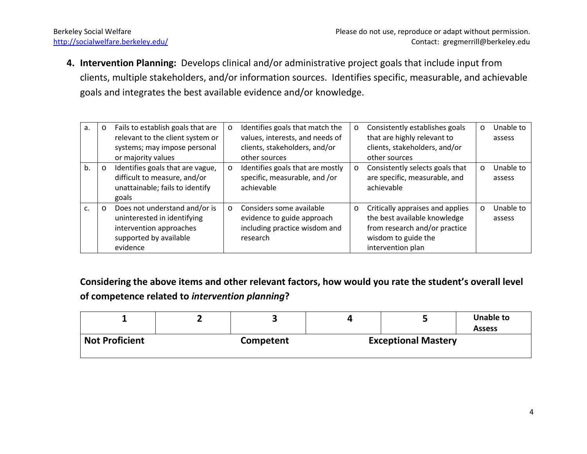**4. Intervention Planning:** Develops clinical and/or administrative project goals that include input from clients, multiple stakeholders, and/or information sources. Identifies specific, measurable, and achievable goals and integrates the best available evidence and/or knowledge.

| a. | O       | Fails to establish goals that are<br>relevant to the client system or<br>systems; may impose personal<br>or majority values   | $\circ$ | Identifies goals that match the<br>values, interests, and needs of<br>clients, stakeholders, and/or<br>other sources | $\circ$ | Consistently establishes goals<br>that are highly relevant to<br>clients, stakeholders, and/or<br>other sources                               | $\circ$ | Unable to<br>assess |
|----|---------|-------------------------------------------------------------------------------------------------------------------------------|---------|----------------------------------------------------------------------------------------------------------------------|---------|-----------------------------------------------------------------------------------------------------------------------------------------------|---------|---------------------|
| b. | $\circ$ | Identifies goals that are vague,<br>difficult to measure, and/or<br>unattainable; fails to identify<br>goals                  | $\circ$ | Identifies goals that are mostly<br>specific, measurable, and /or<br>achievable                                      | $\circ$ | Consistently selects goals that<br>are specific, measurable, and<br>achievable                                                                | $\circ$ | Unable to<br>assess |
| C. | $\circ$ | Does not understand and/or is<br>uninterested in identifying<br>intervention approaches<br>supported by available<br>evidence | $\circ$ | Considers some available<br>evidence to guide approach<br>including practice wisdom and<br>research                  | $\circ$ | Critically appraises and applies<br>the best available knowledge<br>from research and/or practice<br>wisdom to guide the<br>intervention plan | $\circ$ | Unable to<br>assess |

**Considering the above items and other relevant factors, how would you rate the student's overall level of competence related to** *intervention planning***?**

|                       |           |                            | <b>Unable to</b><br><b>Assess</b> |
|-----------------------|-----------|----------------------------|-----------------------------------|
| <b>Not Proficient</b> | Competent | <b>Exceptional Mastery</b> |                                   |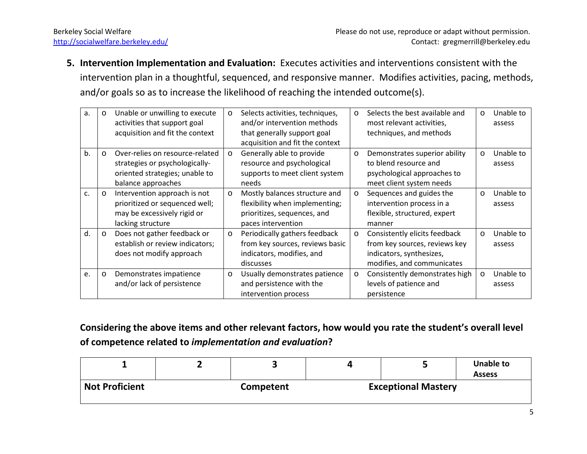**5. Intervention Implementation and Evaluation:** Executes activities and interventions consistent with the intervention plan in a thoughtful, sequenced, and responsive manner. Modifies activities, pacing, methods, and/or goals so as to increase the likelihood of reaching the intended outcome(s).

| a. | $\circ$ | Unable or unwilling to execute<br>activities that support goal | $\circ$ | Selects activities, techniques,<br>and/or intervention methods | $\circ$ | Selects the best available and<br>most relevant activities, | $\circ$ | Unable to<br>assess |
|----|---------|----------------------------------------------------------------|---------|----------------------------------------------------------------|---------|-------------------------------------------------------------|---------|---------------------|
|    |         | acquisition and fit the context                                |         | that generally support goal                                    |         | techniques, and methods                                     |         |                     |
|    |         |                                                                |         | acquisition and fit the context                                |         |                                                             |         |                     |
| b. | $\circ$ | Over-relies on resource-related                                | $\circ$ | Generally able to provide                                      | $\circ$ | Demonstrates superior ability                               | $\circ$ | Unable to           |
|    |         | strategies or psychologically-                                 |         | resource and psychological                                     |         | to blend resource and                                       |         | assess              |
|    |         | oriented strategies; unable to                                 |         | supports to meet client system                                 |         | psychological approaches to                                 |         |                     |
|    |         | balance approaches                                             |         | needs                                                          |         | meet client system needs                                    |         |                     |
| c. | $\circ$ | Intervention approach is not                                   | $\circ$ | Mostly balances structure and                                  | $\circ$ | Sequences and guides the                                    | $\circ$ | Unable to           |
|    |         | prioritized or sequenced well;                                 |         | flexibility when implementing;                                 |         | intervention process in a                                   |         | assess              |
|    |         | may be excessively rigid or                                    |         | prioritizes, sequences, and                                    |         | flexible, structured, expert                                |         |                     |
|    |         | lacking structure                                              |         | paces intervention                                             |         | manner                                                      |         |                     |
| d. | $\circ$ | Does not gather feedback or                                    | $\circ$ | Periodically gathers feedback                                  | $\circ$ | Consistently elicits feedback                               | $\circ$ | Unable to           |
|    |         | establish or review indicators;                                |         | from key sources, reviews basic                                |         | from key sources, reviews key                               |         | assess              |
|    |         | does not modify approach                                       |         | indicators, modifies, and                                      |         | indicators, synthesizes,                                    |         |                     |
|    |         |                                                                |         | discusses                                                      |         | modifies, and communicates                                  |         |                     |
| e. | $\circ$ | Demonstrates impatience                                        | $\circ$ | Usually demonstrates patience                                  | $\circ$ | Consistently demonstrates high                              | $\circ$ | Unable to           |
|    |         | and/or lack of persistence                                     |         | and persistence with the                                       |         | levels of patience and                                      |         | assess              |
|    |         |                                                                |         | intervention process                                           |         | persistence                                                 |         |                     |

**Considering the above items and other relevant factors, how would you rate the student's overall level of competence related to** *implementation and evaluation***?**

| <b>Not Proficient</b> | Competent | <b>Exceptional Mastery</b> |  |  |  |
|-----------------------|-----------|----------------------------|--|--|--|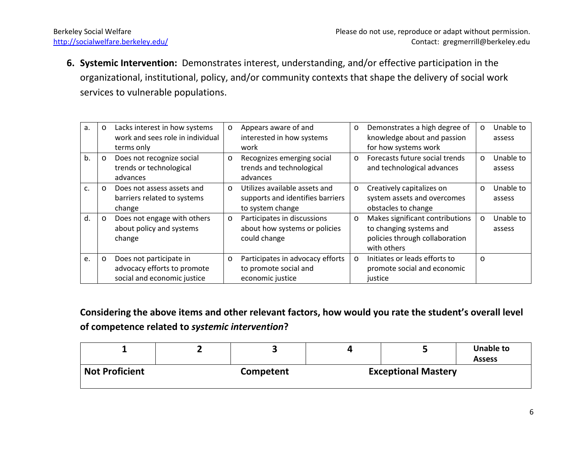**6. Systemic Intervention:** Demonstrates interest, understanding, and/or effective participation in the organizational, institutional, policy, and/or community contexts that shape the delivery of social work services to vulnerable populations.

| a. | $\circ$ | Lacks interest in how systems<br>work and sees role in individual                     | $\circ$  | Appears aware of and<br>interested in how systems<br>work                             | $\circ$ | Demonstrates a high degree of<br>knowledge about and passion<br>for how systems work                        | $\circ$ | Unable to<br>assess |
|----|---------|---------------------------------------------------------------------------------------|----------|---------------------------------------------------------------------------------------|---------|-------------------------------------------------------------------------------------------------------------|---------|---------------------|
| b. | $\circ$ | terms only<br>Does not recognize social                                               | $\circ$  | Recognizes emerging social                                                            | $\circ$ | Forecasts future social trends                                                                              | $\circ$ | Unable to           |
|    |         | trends or technological<br>advances                                                   |          | trends and technological<br>advances                                                  |         | and technological advances                                                                                  |         | assess              |
| C. | $\circ$ | Does not assess assets and<br>barriers related to systems<br>change                   | $\Omega$ | Utilizes available assets and<br>supports and identifies barriers<br>to system change | $\circ$ | Creatively capitalizes on<br>system assets and overcomes<br>obstacles to change                             | $\circ$ | Unable to<br>assess |
| d. | $\circ$ | Does not engage with others<br>about policy and systems<br>change                     | $\circ$  | Participates in discussions<br>about how systems or policies<br>could change          | $\circ$ | Makes significant contributions<br>to changing systems and<br>policies through collaboration<br>with others | $\circ$ | Unable to<br>assess |
| e. | $\circ$ | Does not participate in<br>advocacy efforts to promote<br>social and economic justice | $\circ$  | Participates in advocacy efforts<br>to promote social and<br>economic justice         | $\circ$ | Initiates or leads efforts to<br>promote social and economic<br>justice                                     | $\circ$ |                     |

**Considering the above items and other relevant factors, how would you rate the student's overall level of competence related to** *systemic intervention***?**

|                       |                  |                            | <b>Unable to</b><br><b>Assess</b> |
|-----------------------|------------------|----------------------------|-----------------------------------|
| <b>Not Proficient</b> | <b>Competent</b> | <b>Exceptional Mastery</b> |                                   |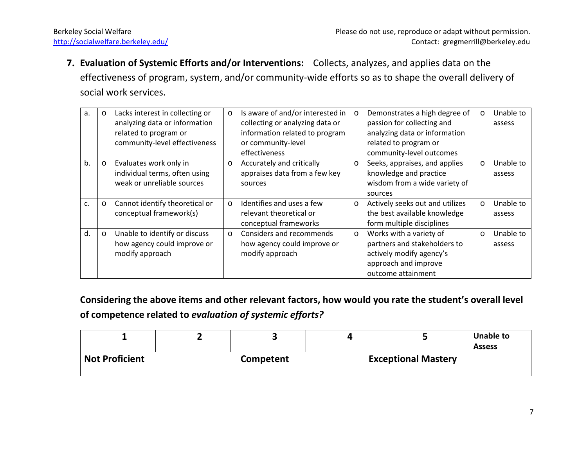**7. Evaluation of Systemic Efforts and/or Interventions:** Collects, analyzes, and applies data on the effectiveness of program, system, and/or community-wide efforts so as to shape the overall delivery of social work services.

| a. | O       | Lacks interest in collecting or<br>analyzing data or information<br>related to program or<br>community-level effectiveness | $\circ$ | Is aware of and/or interested in<br>collecting or analyzing data or<br>information related to program<br>or community-level<br>effectiveness | $\circ$ | Demonstrates a high degree of<br>passion for collecting and<br>analyzing data or information<br>related to program or<br>community-level outcomes | $\circ$ | Unable to<br>assess |
|----|---------|----------------------------------------------------------------------------------------------------------------------------|---------|----------------------------------------------------------------------------------------------------------------------------------------------|---------|---------------------------------------------------------------------------------------------------------------------------------------------------|---------|---------------------|
| b. | $\circ$ | Evaluates work only in<br>individual terms, often using<br>weak or unreliable sources                                      | $\circ$ | Accurately and critically<br>appraises data from a few key<br>sources                                                                        | $\circ$ | Seeks, appraises, and applies<br>knowledge and practice<br>wisdom from a wide variety of<br>sources                                               | $\circ$ | Unable to<br>assess |
| C. | $\circ$ | Cannot identify theoretical or<br>conceptual framework(s)                                                                  | $\circ$ | Identifies and uses a few<br>relevant theoretical or<br>conceptual frameworks                                                                | $\circ$ | Actively seeks out and utilizes<br>the best available knowledge<br>form multiple disciplines                                                      | $\circ$ | Unable to<br>assess |
| d. | $\circ$ | Unable to identify or discuss<br>how agency could improve or<br>modify approach                                            | $\circ$ | Considers and recommends<br>how agency could improve or<br>modify approach                                                                   | $\circ$ | Works with a variety of<br>partners and stakeholders to<br>actively modify agency's<br>approach and improve<br>outcome attainment                 | $\circ$ | Unable to<br>assess |

**Considering the above items and other relevant factors, how would you rate the student's overall level of competence related to** *evaluation of systemic efforts?*

|                       |           |  |                            | Unable to<br><b>Assess</b> |
|-----------------------|-----------|--|----------------------------|----------------------------|
| <b>Not Proficient</b> | Competent |  | <b>Exceptional Mastery</b> |                            |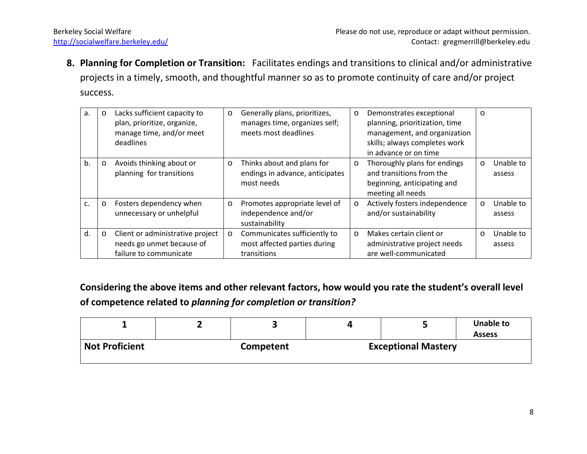**8. Planning for Completion or Transition:** Facilitates endings and transitions to clinical and/or administrative projects in a timely, smooth, and thoughtful manner so as to promote continuity of care and/or project success.

| a. | $\circ$ | Lacks sufficient capacity to<br>plan, prioritize, organize,<br>manage time, and/or meet<br>deadlines | $\circ$ | Generally plans, prioritizes,<br>manages time, organizes self;<br>meets most deadlines | $\circ$ | Demonstrates exceptional<br>planning, prioritization, time<br>management, and organization<br>skills; always completes work<br>in advance or on time | $\circ$ |                     |
|----|---------|------------------------------------------------------------------------------------------------------|---------|----------------------------------------------------------------------------------------|---------|------------------------------------------------------------------------------------------------------------------------------------------------------|---------|---------------------|
| b. | $\circ$ | Avoids thinking about or<br>planning for transitions                                                 | $\circ$ | Thinks about and plans for<br>endings in advance, anticipates<br>most needs            | $\circ$ | Thoroughly plans for endings<br>and transitions from the<br>beginning, anticipating and<br>meeting all needs                                         | $\circ$ | Unable to<br>assess |
| c. | $\circ$ | Fosters dependency when<br>unnecessary or unhelpful                                                  | $\circ$ | Promotes appropriate level of<br>independence and/or<br>sustainability                 | $\circ$ | Actively fosters independence<br>and/or sustainability                                                                                               | $\circ$ | Unable to<br>assess |
| d. | $\circ$ | Client or administrative project<br>needs go unmet because of<br>failure to communicate              | $\circ$ | Communicates sufficiently to<br>most affected parties during<br>transitions            | $\circ$ | Makes certain client or<br>administrative project needs<br>are well-communicated                                                                     | $\circ$ | Unable to<br>assess |

**Considering the above items and other relevant factors, how would you rate the student's overall level of competence related to** *planning for completion or transition?*

|                       |                  |                            | <b>Unable to</b><br><b>Assess</b> |
|-----------------------|------------------|----------------------------|-----------------------------------|
| <b>Not Proficient</b> | <b>Competent</b> | <b>Exceptional Mastery</b> |                                   |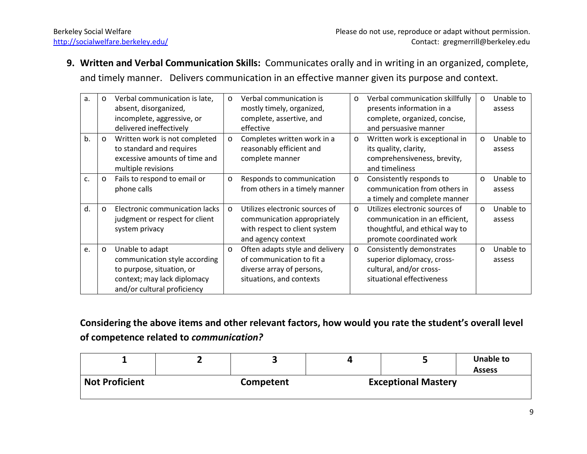**9. Written and Verbal Communication Skills:** Communicates orally and in writing in an organized, complete, and timely manner. Delivers communication in an effective manner given its purpose and context.

| a. | $\circ$ | Verbal communication is late,<br>absent, disorganized,<br>incomplete, aggressive, or<br>delivered ineffectively                             | $\circ$  | Verbal communication is<br>mostly timely, organized,<br>complete, assertive, and<br>effective                         | $\circ$  | Verbal communication skillfully<br>presents information in a<br>complete, organized, concise,<br>and persuasive manner         | $\circ$  | Unable to<br>assess |
|----|---------|---------------------------------------------------------------------------------------------------------------------------------------------|----------|-----------------------------------------------------------------------------------------------------------------------|----------|--------------------------------------------------------------------------------------------------------------------------------|----------|---------------------|
| b. | $\circ$ | Written work is not completed<br>to standard and requires<br>excessive amounts of time and<br>multiple revisions                            | $\circ$  | Completes written work in a<br>reasonably efficient and<br>complete manner                                            | $\circ$  | Written work is exceptional in<br>its quality, clarity,<br>comprehensiveness, brevity,<br>and timeliness                       | $\circ$  | Unable to<br>assess |
| c. | $\circ$ | Fails to respond to email or<br>phone calls                                                                                                 | $\circ$  | Responds to communication<br>from others in a timely manner                                                           | $\circ$  | Consistently responds to<br>communication from others in<br>a timely and complete manner                                       | $\circ$  | Unable to<br>assess |
| d. | $\circ$ | Electronic communication lacks<br>judgment or respect for client<br>system privacy                                                          | $\Omega$ | Utilizes electronic sources of<br>communication appropriately<br>with respect to client system<br>and agency context  | $\Omega$ | Utilizes electronic sources of<br>communication in an efficient,<br>thoughtful, and ethical way to<br>promote coordinated work | $\Omega$ | Unable to<br>assess |
| e. | $\circ$ | Unable to adapt<br>communication style according<br>to purpose, situation, or<br>context; may lack diplomacy<br>and/or cultural proficiency | $\circ$  | Often adapts style and delivery<br>of communication to fit a<br>diverse array of persons,<br>situations, and contexts | $\circ$  | Consistently demonstrates<br>superior diplomacy, cross-<br>cultural, and/or cross-<br>situational effectiveness                | $\circ$  | Unable to<br>assess |

**Considering the above items and other relevant factors, how would you rate the student's overall level of competence related to** *communication?*

|                       |                  |                            | <b>Unable to</b><br><b>Assess</b> |
|-----------------------|------------------|----------------------------|-----------------------------------|
| <b>Not Proficient</b> | <b>Competent</b> | <b>Exceptional Mastery</b> |                                   |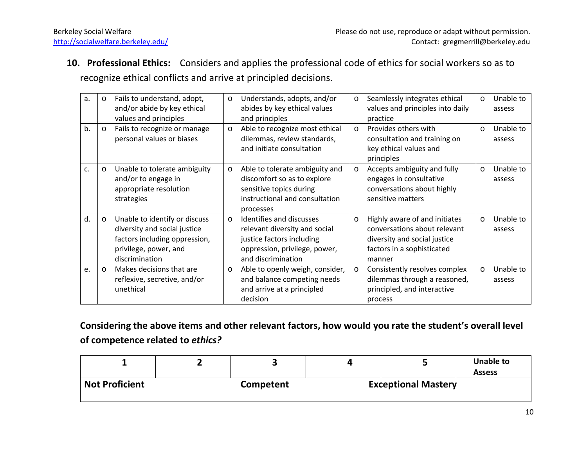**10. Professional Ethics:** Considers and applies the professional code of ethics for social workers so as to recognize ethical conflicts and arrive at principled decisions.

| a. | $\circ$ | Fails to understand, adopt,<br>and/or abide by key ethical<br>values and principles                                                       | $\circ$  | Understands, adopts, and/or<br>abides by key ethical values<br>and principles                                                                 | $\circ$ | Seamlessly integrates ethical<br>values and principles into daily<br>practice                                                         | $\circ$  | Unable to<br>assess |
|----|---------|-------------------------------------------------------------------------------------------------------------------------------------------|----------|-----------------------------------------------------------------------------------------------------------------------------------------------|---------|---------------------------------------------------------------------------------------------------------------------------------------|----------|---------------------|
| b. | $\circ$ | Fails to recognize or manage<br>personal values or biases                                                                                 | $\circ$  | Able to recognize most ethical<br>dilemmas, review standards,<br>and initiate consultation                                                    | $\circ$ | Provides others with<br>consultation and training on<br>key ethical values and<br>principles                                          | $\Omega$ | Unable to<br>assess |
| c. | $\circ$ | Unable to tolerate ambiguity<br>and/or to engage in<br>appropriate resolution<br>strategies                                               | $\circ$  | Able to tolerate ambiguity and<br>discomfort so as to explore<br>sensitive topics during<br>instructional and consultation<br>processes       | $\circ$ | Accepts ambiguity and fully<br>engages in consultative<br>conversations about highly<br>sensitive matters                             | $\circ$  | Unable to<br>assess |
| d. | $\circ$ | Unable to identify or discuss<br>diversity and social justice<br>factors including oppression,<br>privilege, power, and<br>discrimination | $\Omega$ | Identifies and discusses<br>relevant diversity and social<br>justice factors including<br>oppression, privilege, power,<br>and discrimination | $\circ$ | Highly aware of and initiates<br>conversations about relevant<br>diversity and social justice<br>factors in a sophisticated<br>manner | $\circ$  | Unable to<br>assess |
| e. | $\circ$ | Makes decisions that are<br>reflexive, secretive, and/or<br>unethical                                                                     | $\circ$  | Able to openly weigh, consider,<br>and balance competing needs<br>and arrive at a principled<br>decision                                      | $\circ$ | Consistently resolves complex<br>dilemmas through a reasoned,<br>principled, and interactive<br>process                               | $\circ$  | Unable to<br>assess |

**Considering the above items and other relevant factors, how would you rate the student's overall level of competence related to** *ethics?*

|                       |           |                            | Unable to<br><b>Assess</b> |  |  |
|-----------------------|-----------|----------------------------|----------------------------|--|--|
| <b>Not Proficient</b> | Competent | <b>Exceptional Mastery</b> |                            |  |  |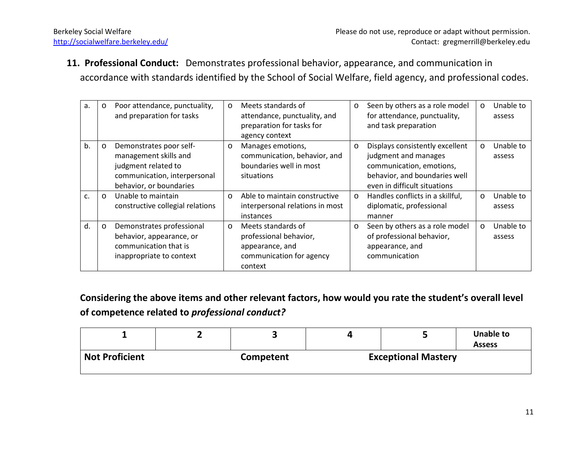**11. Professional Conduct:** Demonstrates professional behavior, appearance, and communication in accordance with standards identified by the School of Social Welfare, field agency, and professional codes.

| a. | $\circ$ | Poor attendance, punctuality,    | $\circ$ | Meets standards of              | $\circ$ | Seen by others as a role model   | $\circ$ | Unable to |
|----|---------|----------------------------------|---------|---------------------------------|---------|----------------------------------|---------|-----------|
|    |         | and preparation for tasks        |         | attendance, punctuality, and    |         | for attendance, punctuality,     |         | assess    |
|    |         |                                  |         | preparation for tasks for       |         | and task preparation             |         |           |
|    |         |                                  |         | agency context                  |         |                                  |         |           |
| b. | $\circ$ | Demonstrates poor self-          | $\circ$ | Manages emotions,               | $\circ$ | Displays consistently excellent  | $\circ$ | Unable to |
|    |         | management skills and            |         | communication, behavior, and    |         | judgment and manages             |         | assess    |
|    |         | judgment related to              |         | boundaries well in most         |         | communication, emotions,         |         |           |
|    |         | communication, interpersonal     |         | situations                      |         | behavior, and boundaries well    |         |           |
|    |         | behavior, or boundaries          |         |                                 |         | even in difficult situations     |         |           |
| C. | $\circ$ | Unable to maintain               | $\circ$ | Able to maintain constructive   | $\circ$ | Handles conflicts in a skillful, | $\circ$ | Unable to |
|    |         | constructive collegial relations |         | interpersonal relations in most |         | diplomatic, professional         |         | assess    |
|    |         |                                  |         | instances                       |         | manner                           |         |           |
| d. | $\circ$ | Demonstrates professional        | $\circ$ | Meets standards of              | $\circ$ | Seen by others as a role model   | $\circ$ | Unable to |
|    |         | behavior, appearance, or         |         | professional behavior,          |         | of professional behavior,        |         | assess    |
|    |         | communication that is            |         | appearance, and                 |         | appearance, and                  |         |           |
|    |         | inappropriate to context         |         | communication for agency        |         | communication                    |         |           |
|    |         |                                  |         | context                         |         |                                  |         |           |

**Considering the above items and other relevant factors, how would you rate the student's overall level of competence related to** *professional conduct?*

|                       |                  |                            | <b>Unable to</b><br><b>Assess</b> |
|-----------------------|------------------|----------------------------|-----------------------------------|
| <b>Not Proficient</b> | <b>Competent</b> | <b>Exceptional Mastery</b> |                                   |